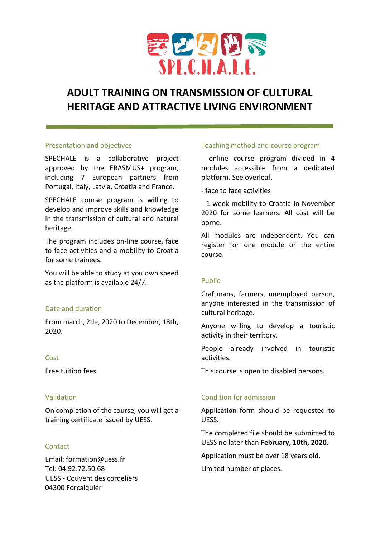

# ADULT TRAINING ON TRANSMISSION OF CULTURAL HERITAGE AND ATTRACTIVE LIVING ENVIRONMENT

#### Presentation and objectives

SPECHALE is a collaborative project approved by the ERASMUS+ program, including 7 European partners from Portugal, Italy, Latvia, Croatia and France.

SPECHALE course program is willing to develop and improve skills and knowledge in the transmission of cultural and natural heritage.

The program includes on-line course, face to face activities and a mobility to Croatia for some trainees.

You will be able to study at you own speed as the platform is available 24/7.

### Date and duration

From march, 2de, 2020 to December, 18th, 2020.

### Cost

Free tuition fees

### Validation

On completion of the course, you will get a training certificate issued by UESS.

## **Contact**

Email: formation@uess.fr Tel: 04.92.72.50.68 UESS - Couvent des cordeliers 04300 Forcalquier

### Teaching method and course program

- online course program divided in 4 modules accessible from a dedicated platform. See overleaf.

- face to face activities

- 1 week mobility to Croatia in November 2020 for some learners. All cost will be borne.

All modules are independent. You can register for one module or the entire course.

### Public

Craftmans, farmers, unemployed person, anyone interested in the transmission of cultural heritage.

Anyone willing to develop a touristic activity in their territory.

People already involved in touristic activities.

This course is open to disabled persons.

## Condition for admission

Application form should be requested to UESS.

The completed file should be submitted to UESS no later than February, 10th, 2020.

Application must be over 18 years old.

Limited number of places.